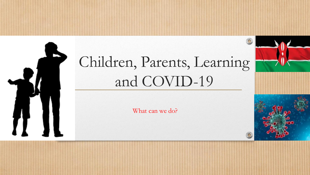# Children, Parents, Learning and COVID-19

What can we do?

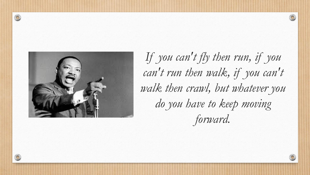

 $\circledcirc$ 

*If you can't fly then run, if you can't run then walk, if you can't walk then crawl, but whatever you do you have to keep moving forward.*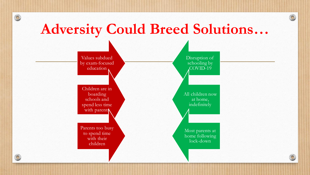## **Adversity Could Breed Solutions…**

 $\odot$ 

 $\circledcirc$ 

 $\bigcirc$ 

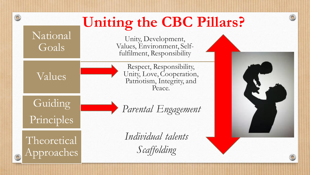## **Uniting the CBC Pillars?**

National Goals

 $\circledcirc$ 

Unity, Development, Values, Environment, Selffulfilment, Responsibility

Values

Respect, Responsibility, Unity, Love, Cooperation, Patriotism, Integrity, and Peace.

**Guiding** Principles

*Parental Engagement*

Theoretical Approaches *Individual talents Scaffolding*

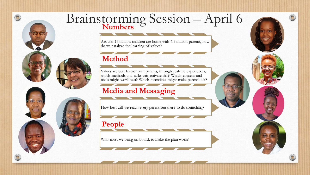

### Brainstorming Session – April 6 **Numbers**

Around 15 million children are home with 6.5 million parents, how do we catalyze the learning of values?

#### **Method**

Values are best learnt from parents, through real-life experiences, which methods and tasks can activate this? Which content and tools might work best? Which incentives might make parents act?

### **Media and Messaging**

How best will we reach every parent out there to do something?

#### **People**

Who must we bring on board, to make the plan work?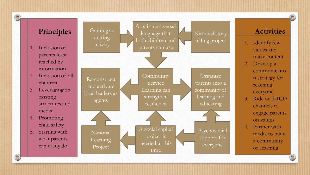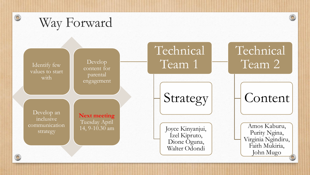